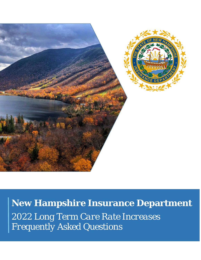

**New Hampshire Insurance Department** *2022 Long Term Care Rate Increases Frequently Asked Questions*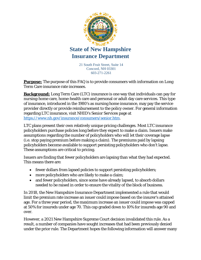

21 South Fruit Street, Suite 14 Concord, NH 03301 603-271-2261

**Purpose:** The purpose of this FAQ is to provide consumers with information on Long Term Care insurance rate increases.

**Background:** Long Term Care (LTC) insurance is one way that individuals can pay for nursing-home care, home-health care and personal or adult day care services. This type of insurance, introduced in the 1980's as nursing home insurance, may pay the service provider directly or provide reimbursement to the policy owner. For general information regarding LTC insurance, visit NHID's Senior Services page at [https://www.nh.gov/insurance/consumers/senior.htm.](https://www.nh.gov/insurance/consumers/senior.htm)

LTC plans present their own relatively unique pricing challenges. Most LTC insurance policyholders purchase policies long before they expect to make a claim. Issuers make assumptions regarding the number of policyholders who will let their coverage lapse (i.e. stop paying premium before making a claim). The premiums paid by lapsing policyholders become available to support persisting policyholders who don't lapse. These assumptions are critical to pricing.

Issuers are finding that fewer policyholders are lapsing than what they had expected. This means there are:

- fewer dollars from lapsed policies to support persisting policyholders;
- more policyholders who are likely to make a claim;
- and fewer policyholders, since some have already lapsed, to absorb dollars needed to be raised in order to ensure the vitality of the block of business.

In 2018, the New Hampshire Insurance Department implemented a rule that would limit the premium rate increase an issuer could impose based on the insurer's attained age. For a three year period, the maximum increase an issuer could impose was capped at 50% for insureds under age 70. This cap graded down to 10% for insureds age 90 and over.

However, a 2021 New Hampshire Supreme Court decision invalidated this rule. As a result, a number of companies have sought increases that had been previously denied under the prior rule. The Department hopes the following information will answer many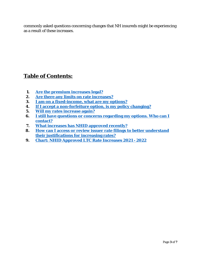commonly asked questions concerning changes that NH insureds might be experiencing as a result of these increases.

## **Table of Contents:**

- **1. [Are the premium increases legal?](#page-3-0)**
- **2. [Are there any limits on rate increases?](#page-3-1)**
- **3. [I am on a fixed-income, what are my options?](#page-3-2)**
- **4. [If I accept a non-forfeiture option, is my policy changing?](#page-4-0)**
- **5. [Will my rates increase again?](#page-4-1)**
- **6. [I still have questions or concerns regarding my options. Who can I](#page-4-2)  [contact?](#page-4-2)**
- **7. [What increases has NHID approved recently?](#page-4-3)**
- **8. [How can I access or review issuer rate filings to better understand](#page-4-4)  [their justifications for increasing rates?](#page-4-4)**
- **9. [Chart: NHID Approved LTC Rate Increases 2021 -](#page-6-0) 2022**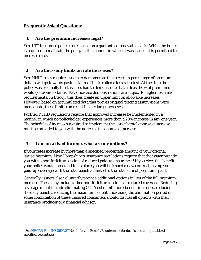#### **Frequently Asked Questions:**

#### <span id="page-3-0"></span>**1. Are the premium increases legal?**

Yes. LTC insurance policies are issued on a guaranteed renewable basis. While the issuer is required to maintain the policy in the manner in which it was issued, it is permitted to increase rates.

#### <span id="page-3-1"></span>**2. Are there any limits on rate increases?**

Yes. NHID rules require issuers to demonstrate that a certain percentage of premium dollars will go towards paying claims. This is called a loss ratio test. At the time the policy was originally filed, issuers had to demonstrate that at least 60% of premiums would go towards claims. Rate increase demonstrations are subject to higher loss ratio requirements. In theory, this does create an upper limit on allowable increases. However, based on accumulated data that proves original pricing assumptions were inadequate, these limits can result in very large increases.

Further, NHID regulations require that approved increases be implemented in a manner in which no policyholder experiences more than a 20% increase in any one year. The schedule of increases required to implement the issuer's total approved increase must be provided to you with the notice of the approved increase.

#### <span id="page-3-2"></span>**3. I am on a fixed-income, what are my options?**

If your rates increase by more than a specified percentage amount of your original issued premium, New Hampshire's insurance regulations require that the issuer provide you with a non-forfeiture option of reduced paid-up insurance.[1](#page-3-3) If you elect this benefit, your policy would lapse and in its place you will be issued a new contract, giving you paid-up coverage with the total benefits limited to the total sum of premiums paid.

Generally, issuers also voluntarily provide additional options in lieu of the full premium increase. These may include other non-forfeiture options or reduced coverage. Reducing coverage might include eliminating COI (cost of inflation) benefit increases, reducing the daily benefit, reducing the maximum benefit, increasing the elimination period or some combination of these. Insured consumers should discuss all options with their insurance producer or a financial advisor.

<span id="page-3-3"></span>l <sup>1</sup> See [NHCAR Part INS 3601.27](http://www.gencourt.state.nh.us/rules/state_agencies/ins3600.html) Nonforfeiture Benefit Requirement for details, including a table of specified percentages.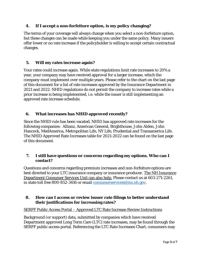#### <span id="page-4-0"></span>**4. If I accept a non-forfeiture option, is my policy changing?**

The terms of your coverage will always change when you select a non-forfeiture option, but these changes can be made while keeping you under the same policy. Many issuers offer lower or no rate increase if the policyholder is willing to accept certain contractual changes.

#### <span id="page-4-1"></span>**5. Will my rates increase again?**

Your rates could increase again. While state regulations limit rate increases to 20% a year, your company may have received approval for a larger increase, which the company must implement over multiple years. Please refer to the chart on the last page of this document for a list of rate increases approved by the Insurance Department in 2021 and 2022. NHID regulations do not permit the company to increase rates while a prior increase is being implemented, i.e. while the issuer is still implementing an approved rate increase schedule.

#### <span id="page-4-2"></span>**6. What increases has NHID approved recently?**

Since the NHID rule has been vacated, NHID has approved rate increases for the following companies: Allianz, American General, Brighthouse, John Alden, John Hancock, MedAmerica, Metropolitan Life, NY Life, Prudential and Transamerica Life. The NHID Approved Rate Increases table for 2021-2022 can be found on the last page of this document.

#### <span id="page-4-3"></span>**7. I still have questions or concerns regarding my options. Who can I contact?**

Questions and concerns regarding premium increases and non-forfeiture options are best directed to your LTC insurance company or insurance producer. The NH Insurance Department Consumer Services Unit can also help. Please contact us at 603-271-2261, in state toll free 800-852-3416 or email [consumerservices@ins.nh.gov.](mailto:consumerservices@ins.nh.gov)

#### <span id="page-4-4"></span>**8. How can I access or review issuer rate filings to better understand their justifications for increasing rates?**

#### SERFF Public Access Portal – Approved LTC Rate Increase Review Instructions

Background (or support) data, submitted by companies which have received Department approved Long Term Care (LTC) rate increases, may be found through the SERFF public access portal. Referencing the LTC Rate Increases Chart, consumers may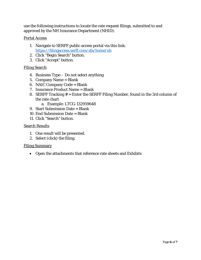use the following instructions to locate the rate request filings, submitted to and approved by the NH Insurance Department (NHID).

#### Portal Access

- 1. Navigate to SERFF public access portal via this link: <https://filingaccess.serff.com/sfa/home/nh>
- 2. Click "Begin Search" button.
- 3. Click "Accept" button.

#### Filing Search

- 4. Business Type Do not select anything
- 5. Company Name = Blank
- 6. NAIC Company Code = Blank
- 7. Insurance Product Name = Blank
- 8. SERFF Tracking # = Enter the SERFF Filing Number, found in the 3rd column of the rate chart
	- a. Example: LTCG-132959648
- 9. Start Submission Date = Blank
- 10. End Submission Date = Blank
- 11. Click "Search" button.

#### Search Results

- 1. One result will be presented.
- 2. Select (click) the filing.

#### Filing Summary

• Open the attachments that reference rate sheets and Exhibits